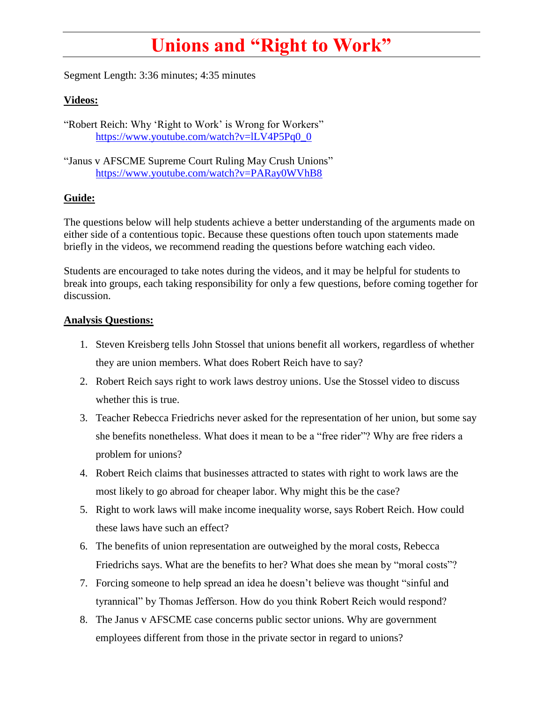## **Unions and "Right to Work"**

Segment Length: 3:36 minutes; 4:35 minutes

## **Videos:**

"Robert Reich: Why 'Right to Work' is Wrong for Workers" [https://www.youtube.com/watch?v=lLV4P5Pq0\\_0](https://www.youtube.com/watch?v=lLV4P5Pq0_0)

"Janus v AFSCME Supreme Court Ruling May Crush Unions" <https://www.youtube.com/watch?v=PARay0WVhB8>

## **Guide:**

The questions below will help students achieve a better understanding of the arguments made on either side of a contentious topic. Because these questions often touch upon statements made briefly in the videos, we recommend reading the questions before watching each video.

Students are encouraged to take notes during the videos, and it may be helpful for students to break into groups, each taking responsibility for only a few questions, before coming together for discussion.

## **Analysis Questions:**

- 1. Steven Kreisberg tells John Stossel that unions benefit all workers, regardless of whether they are union members. What does Robert Reich have to say?
- 2. Robert Reich says right to work laws destroy unions. Use the Stossel video to discuss whether this is true.
- 3. Teacher Rebecca Friedrichs never asked for the representation of her union, but some say she benefits nonetheless. What does it mean to be a "free rider"? Why are free riders a problem for unions?
- 4. Robert Reich claims that businesses attracted to states with right to work laws are the most likely to go abroad for cheaper labor. Why might this be the case?
- 5. Right to work laws will make income inequality worse, says Robert Reich. How could these laws have such an effect?
- 6. The benefits of union representation are outweighed by the moral costs, Rebecca Friedrichs says. What are the benefits to her? What does she mean by "moral costs"?
- 7. Forcing someone to help spread an idea he doesn't believe was thought "sinful and tyrannical" by Thomas Jefferson. How do you think Robert Reich would respond?
- 8. The Janus v AFSCME case concerns public sector unions. Why are government employees different from those in the private sector in regard to unions?